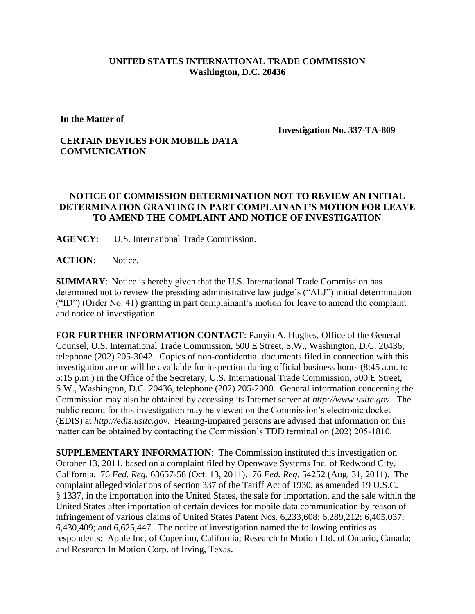## **UNITED STATES INTERNATIONAL TRADE COMMISSION Washington, D.C. 20436**

**In the Matter of** 

## **CERTAIN DEVICES FOR MOBILE DATA COMMUNICATION**

**Investigation No. 337-TA-809**

## **NOTICE OF COMMISSION DETERMINATION NOT TO REVIEW AN INITIAL DETERMINATION GRANTING IN PART COMPLAINANT'S MOTION FOR LEAVE TO AMEND THE COMPLAINT AND NOTICE OF INVESTIGATION**

**AGENCY**: U.S. International Trade Commission.

**ACTION**: Notice.

**SUMMARY**: Notice is hereby given that the U.S. International Trade Commission has determined not to review the presiding administrative law judge's ("ALJ") initial determination ("ID") (Order No. 41) granting in part complainant's motion for leave to amend the complaint and notice of investigation.

**FOR FURTHER INFORMATION CONTACT**: Panyin A. Hughes, Office of the General Counsel, U.S. International Trade Commission, 500 E Street, S.W., Washington, D.C. 20436, telephone (202) 205-3042. Copies of non-confidential documents filed in connection with this investigation are or will be available for inspection during official business hours (8:45 a.m. to 5:15 p.m.) in the Office of the Secretary, U.S. International Trade Commission, 500 E Street, S.W., Washington, D.C. 20436, telephone (202) 205-2000. General information concerning the Commission may also be obtained by accessing its Internet server at *http://www.usitc.gov*. The public record for this investigation may be viewed on the Commission's electronic docket (EDIS) at *http://edis.usitc.gov*. Hearing-impaired persons are advised that information on this matter can be obtained by contacting the Commission's TDD terminal on (202) 205-1810.

**SUPPLEMENTARY INFORMATION:** The Commission instituted this investigation on October 13, 2011, based on a complaint filed by Openwave Systems Inc. of Redwood City, California. 76 *Fed. Reg.* 63657-58 (Oct. 13, 2011). 76 *Fed. Reg.* 54252 (Aug. 31, 2011). The complaint alleged violations of section 337 of the Tariff Act of 1930, as amended 19 U.S.C. § 1337, in the importation into the United States, the sale for importation, and the sale within the United States after importation of certain devices for mobile data communication by reason of infringement of various claims of United States Patent Nos. 6,233,608; 6,289,212; 6,405,037; 6,430,409; and 6,625,447. The notice of investigation named the following entities as respondents: Apple Inc. of Cupertino, California; Research In Motion Ltd. of Ontario, Canada; and Research In Motion Corp. of Irving, Texas.